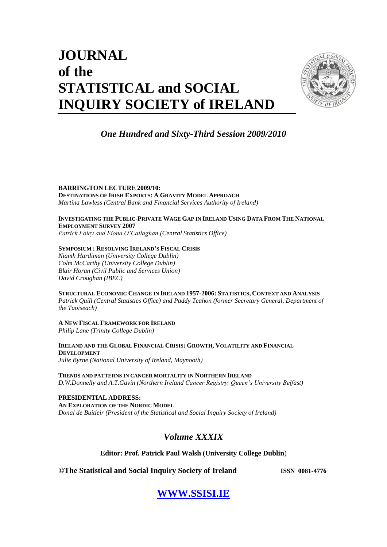# **JOURNAL of the STATISTICAL and SOCIAL INQUIRY SOCIETY of IRELAND**



### *One Hundred and Sixty-Third Session 2009/2010*

**BARRINGTON LECTURE 2009/10: DESTINATIONS OF IRISH EXPORTS: A GRAVITY MODEL APPROACH**  *Martina Lawless (Central Bank and Financial Services Authority of Ireland)*

#### INVESTIGATING THE PUBLIC-PRIVATE WAGE GAP IN IRELAND USING DATA FROM THE NATIONAL **EMPLOYMENT SURVEY 2007**

*Patrick Foley and Fiona O'Callaghan (Central Statistics Office)*

### **SYMPOSIUM : RESOLVING IRELAND'S FISCAL CRISIS**

*Niamh Hardiman (University College Dublin) Colm McCarthy (University College Dublin) Blair Horan (Civil Public and Services Union) David Croughan (IBEC)*

**STRUCTURAL ECONOMIC CHANGE IN IRELAND 1957-2006: STATISTICS, CONTEXT AND ANALYSIS**

*Patrick Quill (Central Statistics Office) and Paddy Teahon (former Secretary General, Department of the Taoiseach)*

#### **A NEW FISCAL FRAMEWORK FOR IRELAND**

*Philip Lane (Trinity College Dublin)*

**IRELAND AND THE GLOBAL FINANCIAL CRISIS: GROWTH, VOLATILITY AND FINANCIAL DEVELOPMENT** *Julie Byrne (National University of Ireland, Maynooth)*

**TRENDS AND PATTERNS IN CANCER MORTALITY IN NORTHERN IRELAND** *D.W.Donnelly and A.T.Gavin (Northern Ireland Cancer Registry, Queen's University Belfast)*

**PRESIDENTIAL ADDRESS: AN EXPLORATION OF THE NORDIC MODEL** *Donal de Buitleir (President of the Statistical and Social Inquiry Society of Ireland)*

### *Volume XXXIX*

**Editor: Prof. Patrick Paul Walsh (University College Dublin**)

**©The Statistical and Social Inquiry Society of Ireland ISSN 0081-4776**

# **[WWW.SSISI.IE](http://www.ssisi.ie/)**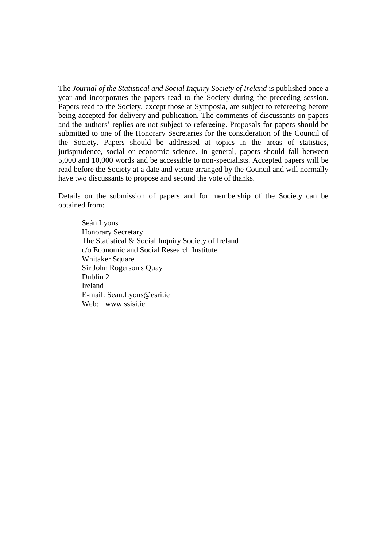The *Journal of the Statistical and Social Inquiry Society of Ireland* is published once a year and incorporates the papers read to the Society during the preceding session. Papers read to the Society, except those at Symposia, are subject to refereeing before being accepted for delivery and publication. The comments of discussants on papers and the authors" replies are not subject to refereeing. Proposals for papers should be submitted to one of the Honorary Secretaries for the consideration of the Council of the Society. Papers should be addressed at topics in the areas of statistics, jurisprudence, social or economic science. In general, papers should fall between 5,000 and 10,000 words and be accessible to non-specialists. Accepted papers will be read before the Society at a date and venue arranged by the Council and will normally have two discussants to propose and second the vote of thanks.

Details on the submission of papers and for membership of the Society can be obtained from:

Seán Lyons Honorary Secretary The Statistical & Social Inquiry Society of Ireland c/o Economic and Social Research Institute Whitaker Square Sir John Rogerson's Quay Dublin 2 Ireland E-mail: Sean.Lyons@esri.ie Web: www.ssisi.ie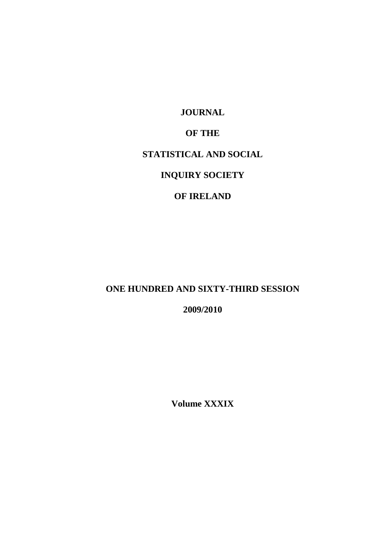**JOURNAL**

### **OF THE**

### **STATISTICAL AND SOCIAL**

# **INQUIRY SOCIETY**

### **OF IRELAND**

### **ONE HUNDRED AND SIXTY-THIRD SESSION**

**2009/2010**

**Volume XXXIX**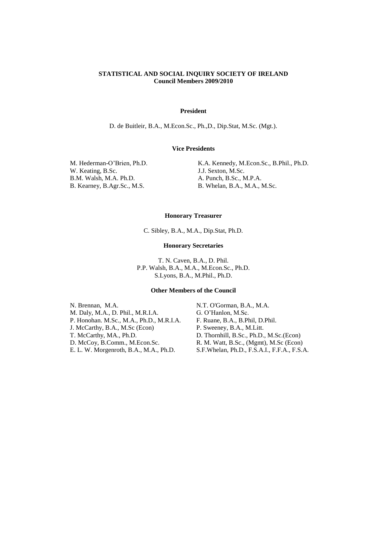#### **STATISTICAL AND SOCIAL INQUIRY SOCIETY OF IRELAND Council Members 2009/2010**

#### **President**

D. de Buitleir, B.A., M.Econ.Sc., Ph.,D., Dip.Stat, M.Sc. (Mgt.).

#### **Vice Presidents**

W. Keating, B.Sc. B.M. Walsh, M.A. Ph.D.

M. Hederman-O'Brien, Ph.D. K.A. Kennedy, M.Econ.Sc., B.Phil., Ph.D. J.J. Sexton, M.Sc. A. Punch, B.Sc., M.P.A. B. Kearney, B.Agr.Sc., M.S. B. Whelan, B.A., M.A., M.Sc.

#### **Honorary Treasurer**

C. Sibley, B.A., M.A., Dip.Stat, Ph.D.

#### **Honorary Secretaries**

T. N. Caven, B.A., D. Phil. P.P. Walsh, B.A., M.A., M.Econ.Sc., Ph.D. S.Lyons, B.A., M.Phil., Ph.D.

#### **Other Members of the Council**

N. Brennan, M.A.<br>
M. Daly, M.A., D. Phil., M.R.I.A.<br>
G. O'Hanlon, M.Sc. M. Daly, M.A., D. Phil., M.R.I.A. P. Honohan. M.Sc., M.A., Ph.D., M.R.I.A. F. Ruane, B.A., B.Phil, D.Phil. J. McCarthy, B.A., M.Sc (Econ) P. Sweeney, B.A., M.Litt. T. McCarthy, MA., Ph.D. D. Thornhill, B.Sc., Ph.D., M.Sc.(Econ) D. McCoy, B.Comm., M.Econ.Sc. R. M. Watt, B.Sc., (Mgmt), M.Sc (Econ) E. L. W. Morgenroth, B.A., M.A., Ph.D. S.F.Whelan, Ph.D., F.S.A.I., F.F.A., F.S.A.